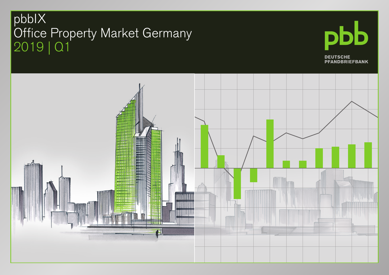### pbbIX Office Property Market Germany 2019 | Q1



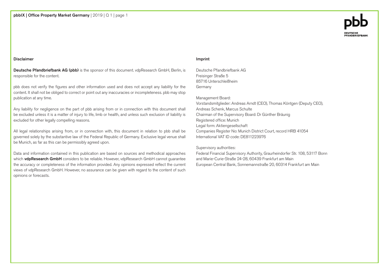#### Disclaimer

Deutsche Pfandbriefbank AG (pbb) is the sponsor of this document. vdpResearch GmbH, Berlin, is responsible for the content.

pbb does not verify the figures and other information used and does not accept any liability for the content. It shall not be obliged to correct or point out any inaccuracies or incompleteness. pbb may stop publication at any time.

Any liability for negligence on the part of pbb arising from or in connection with this document shall be excluded unless it is a matter of injury to life, limb or health, and unless such exclusion of liability is excluded for other legally compelling reasons.

All legal relationships arising from, or in connection with, this document in relation to pbb shall be governed solely by the substantive law of the Federal Republic of Germany. Exclusive legal venue shall be Munich, as far as this can be permissibly agreed upon.

Data and information contained in this publication are based on sources and methodical approaches which vdpResearch GmbH considers to be reliable. However, vdpResearch GmbH cannot guarantee the accuracy or completeness of the information provided. Any opinions expressed reflect the current views of vdpResearch GmbH. However, no assurance can be given with regard to the content of such opinions or forecasts.

#### Imprint

Deutsche Pfandbriefbank AG Freisinger Straße 5 85716 Unterschleißheim Germany

Management Board: Vorstandsmitglieder: Andreas Arndt (CEO), Thomas Köntgen (Deputy CEO), Andreas Schenk, Marcus Schulte Chairman of the Supervisory Board: Dr Günther Bräunig Registered office: Munich Legal form: Aktiengesellschaft Companies Register No: Munich District Court, record HRB 41054 International VAT ID code: DE811223976

#### Supervisory authorities:

Federal Financial Supervisory Authority, Graurheindorfer Str. 108, 53117 Bonn and Marie-Curie-Straße 24-28, 60439 Frankfurt am Main European Central Bank, Sonnemannstraße 20, 60314 Frankfurt am Main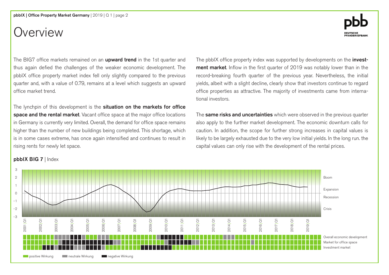### Overview

The BIG7 office markets remained on an **upward trend** in the 1st quarter and thus again defied the challenges of the weaker economic development. The pbbIX office property market index fell only slightly compared to the previous quarter and, with a value of 0.79, remains at a level which suggests an upward office market trend.

The lynchpin of this development is the situation on the markets for office space and the rental market. Vacant office space at the major office locations in Germany is currently very limited. Overall, the demand for office space remains higher than the number of new buildings being completed. This shortage, which is in some cases extreme, has once again intensified and continues to result in rising rents for newly let space.

The pbbIX office property index was supported by developments on the **invest**ment market. Inflow in the first quarter of 2019 was notably lower than in the record-breaking fourth quarter of the previous year. Nevertheless, the initial yields, albeit with a slight decline, clearly show that investors continue to regard office properties as attractive. The majority of investments came from international investors.

The same risks and uncertainties which were observed in the previous quarter also apply to the further market development. The economic downturn calls for caution. In addition, the scope for further strong increases in capital values is likely to be largely exhausted due to the very low initial yields. In the long run. the capital values can only rise with the development of the rental prices.



### pbbIX BIG 7 | Index

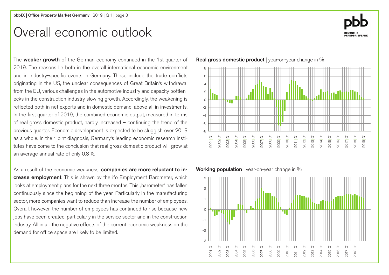### Overall economic outlook

The **weaker growth** of the German economy continued in the 1st quarter of 2019. The reasons lie both in the overall international economic environment and in industry-specific events in Germany. These include the trade conflicts originating in the US, the unclear consequences of Great Britain's withdrawal from the EU, various challenges in the automotive industry and capacity bottlenecks in the construction industry slowing growth. Accordingly, the weakening is reflected both in net exports and in domestic demand, above all in investments. In the first quarter of 2019, the combined economic output, measured in terms of real gross domestic product, hardly increased – continuing the trend of the previous quarter. Economic development is expected to be sluggish over 2019 as a whole. In their joint diagnosis, Germany's leading economic research institutes have come to the conclusion that real gross domestic product will grow at an average annual rate of only 0.8%.

As a result of the economic weakness, companies are more reluctant to increase employment. This is shown by the ifo Employment Barometer, which looks at employment plans for the next three months. This "barometer" has fallen continuously since the beginning of the year. Particularly in the manufacturing sector, more companies want to reduce than increase the number of employees. Overall, however, the number of employees has continued to rise because new jobs have been created, particularly in the service sector and in the construction industry. All in all, the negative effects of the current economic weakness on the demand for office space are likely to be limited.

Real gross domestic product | year-on-year change in %



Working population | year-on-year change in %



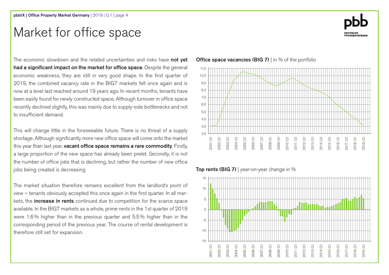### Market for office space

The economic slowdown and the related uncertainties and risks have **not vet** had a significant impact on the market for office space. Despite the general economic weakness, they are still in very good shape. In the first quarter of 2019, the combined vacancy rate in the BIG7 markets fell once again and is now at a level last reached around 19 years ago. In recent months, tenants have been easily found for newly constructed space. Although turnover in office space recently declined slightly, this was mainly due to supply-side bottlenecks and not to insufficient demand.

This will change little in the foreseeable future. There is no threat of a supply shortage. Although significantly more new office space will come onto the market this year than last year, vacant office space remains a rare commodity. Firstly, a large proportion of the new space has already been prelet. Secondly, it is not the number of office jobs that is declining, but rather the number of new office jobs being created is decreasing.

The market situation therefore remains excellent from the landlord's point of view – tenants obviously accepted this once again in the first quarter. In all markets, the **increase in rents** continued due to competition for the scarce space available. In the BIG7 markets as a whole, prime rents in the 1st quarter of 2019 were 1.6% higher than in the previous quarter and 5.5% higher than in the corresponding period of the previous year. The course of rental development is therefore still set for expansion.

### **Office space vacancies (BIG 7)** I in % of the portfolio



### Top rents (BIG 7) | year-on-year change in  $%$



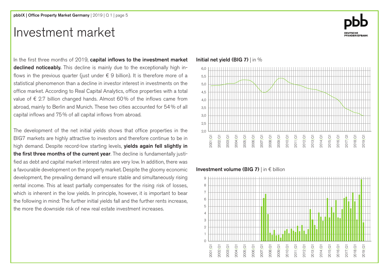### Investment market

In the first three months of 2019, capital inflows to the investment market declined noticeably. This decline is mainly due to the exceptionally high inflows in the previous quarter (just under  $\epsilon$  9 billion). It is therefore more of a statistical phenomenon than a decline in investor interest in investments on the office market. According to Real Capital Analytics, office properties with a total value of  $\epsilon$  2.7 billion changed hands. Almost 60% of the inflows came from abroad, mainly to Berlin and Munich. These two cities accounted for 54% of all capital inflows and 75% of all capital inflows from abroad.

The development of the net initial yields shows that office properties in the BIG7 markets are highly attractive to investors and therefore continue to be in high demand. Despite record-low starting levels, yields again fell slightly in the first three months of the current year. The decline is fundamentally justified as debt and capital market interest rates are very low. In addition, there was a favourable development on the property market. Despite the gloomy economic development, the prevailing demand will ensure stable and simultaneously rising rental income. This at least partially compensates for the rising risk of losses, which is inherent in the low yields. In principle, however, it is important to bear the following in mind: The further initial yields fall and the further rents increase, the more the downside risk of new real estate investment increases.

### $20$ 2,5 5,0 4,5 4,0 3,5 3,0 6,0 5,5

### Initial net yield (BIG 7) | in %

### 9 8

Investment volume (BIG 7) | in € billion



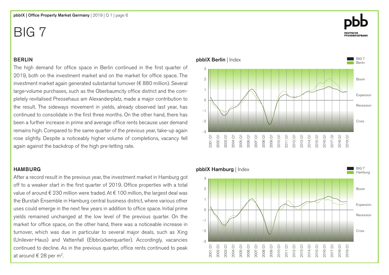### BERLIN

The high demand for office space in Berlin continued in the first quarter of 2019, both on the investment market and on the market for office space. The investment market again generated substantial turnover (€ 880 million). Several large-volume purchases, such as the Oberbaumcity office district and the completely revitalised Pressehaus am Alexanderplatz, made a major contribution to the result. The sideways movement in yields, already observed last year, has continued to consolidate in the first three months. On the other hand, there has been a further increase in prime and average office rents because user demand remains high. Compared to the same quarter of the previous year, take-up again rose slightly. Despite a noticeably higher volume of completions, vacancy fell again against the backdrop of the high pre-letting rate.

### **HAMBURG**

After a record result in the previous year, the investment market in Hamburg got off to a weaker start in the first quarter of 2019. Office properties with a total value of around € 230 million were traded. At € 100 million, the largest deal was the Burstah Ensemble in Hamburg central business district, where various other uses could emerge in the next few years in addition to office space. Initial prime yields remained unchanged at the low level of the previous quarter. On the market for office space, on the other hand, there was a noticeable increase in turnover, which was due in particular to several major deals, such as Xing (Unilever-Haus) and Vattenfall (Elbbrückenquartier). Accordingly, vacancies continued to decline. As in the previous quarter, office rents continued to peak at around  $\epsilon$  28 per m<sup>2</sup>.

#### pbbIX Berlin | Index -3 2 1  $\Omega$ -1 -2 3 2013|Q1 2014|Q1 2015|Q1 2016|Q1 2017|Q1 2018|Q1 2019|Q1 2012|Q1 2011|Q1 2010|Q1 2009|Q1 2008|Q1 2007|Q1 2006|Q1 2005|Q1 2004|Q1 2003|Q1 2002|Q1 2001|Q1 BIG 7 Berlin Boom **Recession** Crisis Expansion

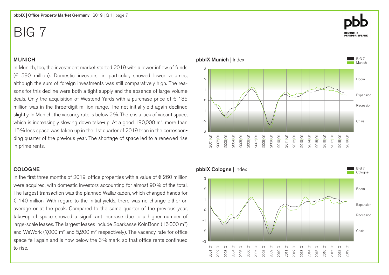### MUNICH

In Munich, too, the investment market started 2019 with a lower inflow of funds (€ 590 million). Domestic investors, in particular, showed lower volumes, although the sum of foreign investments was still comparatively high. The reasons for this decline were both a tight supply and the absence of large-volume deals. Only the acquisition of Westend Yards with a purchase price of  $\epsilon$  135 million was in the three-digit million range. The net initial yield again declined slightly. In Munich, the vacancy rate is below 2%. There is a lack of vacant space, which is increasingly slowing down take-up. At a good 190,000  $m^2$ , more than 15% less space was taken up in the 1st quarter of 2019 than in the corresponding quarter of the previous year. The shortage of space led to a renewed rise in prime rents.

### COLOGNE

In the first three months of 2019, office properties with a value of  $\epsilon$  260 million were acquired, with domestic investors accounting for almost 90% of the total. The largest transaction was the planned Wallarkaden, which changed hands for € 140 million. With regard to the initial yields, there was no change either on average or at the peak. Compared to the same quarter of the previous year, take-up of space showed a significant increase due to a higher number of large-scale leases. The largest leases include Sparkasse KölnBonn (16,000 m2) and WeWork (7,000  $m^2$  and 5,200  $m^2$  respectively). The vacancy rate for office space fell again and is now below the 3% mark, so that office rents continued to rise.

pbbIX Munich | Index 2 1  $\Omega$ -1 3

-3

-2



2013|Q1 2014|Q1 2015|Q1 2016|Q1 2017|Q1 2018|Q1 2019|Q1

2012|Q1 2011|Q1 2010|Q1 2009|Q1 2008|Q1 2007|Q1 2006|Q1 2005|Q1 2004|Q1 2003|Q1 2002|Q1 2001|Q1

BIG 7 **Munich** 

Boom

**Recession** 

Expansion

Crisis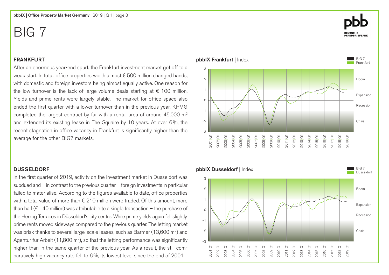### FRANKFURT

After an enormous year-end spurt, the Frankfurt investment market got off to a weak start. In total, office properties worth almost € 500 million changed hands, with domestic and foreign investors being almost equally active. One reason for the low turnover is the lack of large-volume deals starting at  $\epsilon$  100 million. Yields and prime rents were largely stable. The market for office space also ended the first quarter with a lower turnover than in the previous year. KPMG completed the largest contract by far with a rental area of around 45,000 m<sup>2</sup> and extended its existing lease in The Squaire by 10 years. At over 6%, the recent stagnation in office vacancy in Frankfurt is significantly higher than the average for the other BIG7 markets.

### DUSSELDORF

In the first quarter of 2019, activity on the investment market in Düsseldorf was subdued and – in contrast to the previous quarter – foreign investments in particular failed to materialise. According to the figures available to date, office properties with a total value of more than  $\epsilon$  210 million were traded. Of this amount, more than half ( $\epsilon$  140 million) was attributable to a single transaction – the purchase of the Herzog Terraces in Düsseldorf's city centre. While prime yields again fell slightly, prime rents moved sideways compared to the previous quarter. The letting market was brisk thanks to several large-scale leases, such as Barmer (13,600 m<sup>2</sup>) and Agentur für Arbeit (11,800 m<sup>2</sup>), so that the letting performance was significantly higher than in the same quarter of the previous year. As a result, the still comparatively high vacancy rate fell to 6%, its lowest level since the end of 2001.



pbbIX Frankfurt | Index

-3

-2

-1



2013|Q1 2014|Q1 2015|Q1 2016|Q1 2017|Q1 2018|Q1 2019|Q1

2012|Q1 2011|Q1 2010|Q1 2009|Q1 2008|Q1 2007|Q1 2006|Q1 2005|Q1 2004|Q1 2003|Q1 2002|Q1 2001|Q1

BIG 7 Frankfur

Boom

**Recession** 

Expansion

Crisis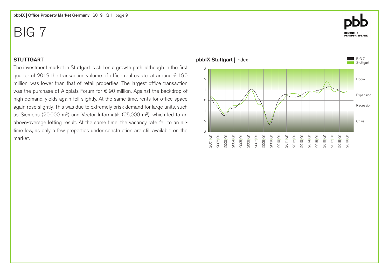### **STUTTGART**

The investment market in Stuttgart is still on a growth path, although in the first quarter of 2019 the transaction volume of office real estate, at around  $\epsilon$  190 million, was lower than that of retail properties. The largest office transaction was the purchase of Albplatz Forum for € 90 million. Against the backdrop of high demand, yields again fell slightly. At the same time, rents for office space again rose slightly. This was due to extremely brisk demand for large units, such as Siemens (20,000 m2) and Vector Informatik (25,000 m2), which led to an above-average letting result. At the same time, the vacancy rate fell to an alltime low, as only a few properties under construction are still available on the market.

#### pbbIX Stuttgart | Index -3 2 1  $\Omega$ -1 -2 3 BIG 7 **Stuttgart** 2013|Q1 2014|Q1 2015|Q1 2016|Q1 2017|Q1 2018|Q1 2019|Q1 2012|Q1 2011|Q1 2010|Q1 2009|Q1 2008|Q1 2007|Q1 2006|Q1 2005|Q1 2004|Q1 2003|Q1 2002|Q1 2001|Q1 Boom Recession Crisis Expansion

# **DEUTSCHE<br>PFANDBRIEFBANK**